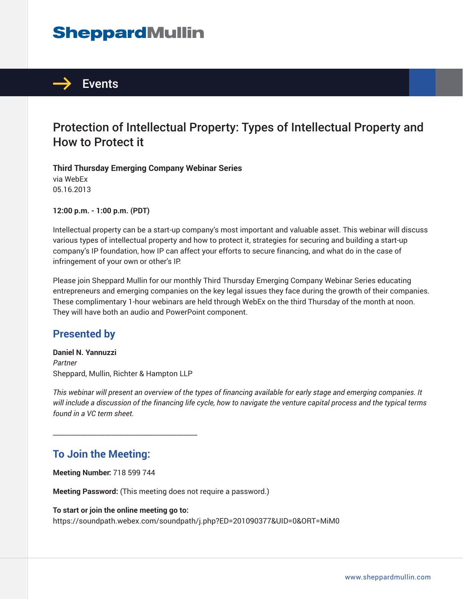# **SheppardMullin**



## Protection of Intellectual Property: Types of Intellectual Property and How to Protect it

**Third Thursday Emerging Company Webinar Series** via WebEx 05.16.2013

**12:00 p.m. - 1:00 p.m. (PDT)**

Intellectual property can be a start-up company's most important and valuable asset. This webinar will discuss various types of intellectual property and how to protect it, strategies for securing and building a start-up company's IP foundation, how IP can affect your efforts to secure financing, and what do in the case of infringement of your own or other's IP.

Please join Sheppard Mullin for our monthly Third Thursday Emerging Company Webinar Series educating entrepreneurs and emerging companies on the key legal issues they face during the growth of their companies. These complimentary 1-hour webinars are held through WebEx on the third Thursday of the month at noon. They will have both an audio and PowerPoint component.

## **Presented by**

**Daniel N. Yannuzzi** *Partner* Sheppard, Mullin, Richter & Hampton LLP

\_\_\_\_\_\_\_\_\_\_\_\_\_\_\_\_\_\_\_\_\_\_\_\_\_\_\_\_\_\_\_\_\_\_\_\_\_\_\_\_\_\_

*This webinar will present an overview of the types of financing available for early stage and emerging companies. It will include a discussion of the financing life cycle, how to navigate the venture capital process and the typical terms found in a VC term sheet.*

## **To Join the Meeting:**

**Meeting Number:** 718 599 744

**Meeting Password:** (This meeting does not require a password.)

#### **To start or join the online meeting go to:**

https://soundpath.webex.com/soundpath/j.php?ED=201090377&UID=0&ORT=MiM0